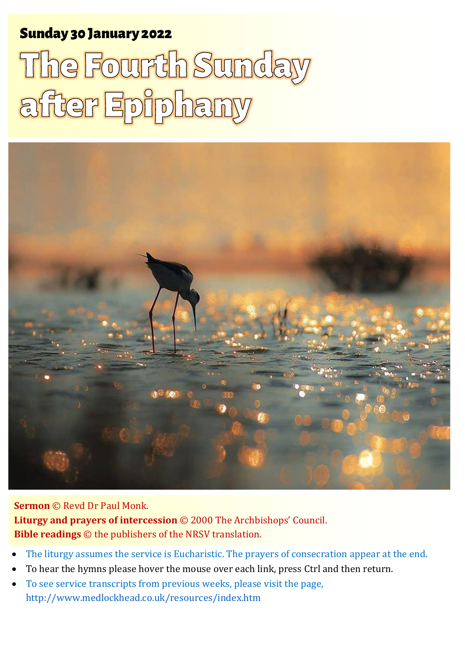# Sunday 30 January 2022 1 **The Fourth Sunday after Epiphany** Sunday 30 January 2022

# The Fourth Sunday after Epiphany



**Sermon** © Revd Dr Paul Monk. **Liturgy and prayers of intercession** © 2000 The Archbishops' Council. **Bible readings** © the publishers of the NRSV translation.

- The liturgy assumes the service is Eucharistic. The prayers of consecration appear at the end.
- To hear the hymns please hover the mouse over each link, press Ctrl and then return.
- To see service transcripts from previous weeks, please visit the page, <http://www.medlockhead.co.uk/resources/index.htm>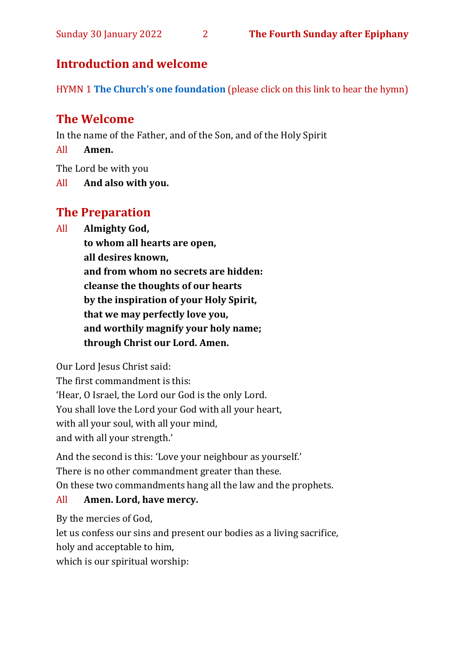# **Introduction and welcome**

HYMN 1 **[The Church's one foundation](https://www.youtube.com/watch?v=bCdASxyPIKE)** (please click on this link to hear the hymn)

# **The Welcome**

In the name of the Father, and of the Son, and of the Holy Spirit

All **Amen.**

The Lord be with you

All **And also with you.**

# **The Preparation**

All **Almighty God,**

**to whom all hearts are open, all desires known, and from whom no secrets are hidden: cleanse the thoughts of our hearts by the inspiration of your Holy Spirit, that we may perfectly love you, and worthily magnify your holy name; through Christ our Lord. Amen.**

Our Lord Jesus Christ said:

The first commandment is this: 'Hear, O Israel, the Lord our God is the only Lord. You shall love the Lord your God with all your heart, with all your soul, with all your mind, and with all your strength.'

And the second is this: 'Love your neighbour as yourself.' There is no other commandment greater than these. On these two commandments hang all the law and the prophets.

#### All **Amen. Lord, have mercy.**

By the mercies of God,

let us confess our sins and present our bodies as a living sacrifice,

holy and acceptable to him,

which is our spiritual worship: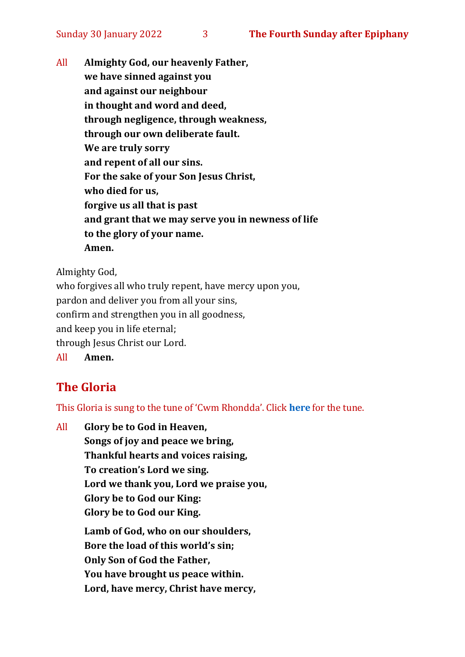All **Almighty God, our heavenly Father, we have sinned against you and against our neighbour in thought and word and deed, through negligence, through weakness, through our own deliberate fault. We are truly sorry and repent of all our sins. For the sake of your Son Jesus Christ, who died for us, forgive us all that is past and grant that we may serve you in newness of life to the glory of your name. Amen.**

Almighty God,

who forgives all who truly repent, have mercy upon you, pardon and deliver you from all your sins, confirm and strengthen you in all goodness, and keep you in life eternal; through Jesus Christ our Lord. All **Amen.**

# **The Gloria**

This Gloria is sung to the tune of 'Cwm Rhondda'. Click **[here](about:blank)** for the tune.

All **Glory be to God in Heaven, Songs of joy and peace we bring, Thankful hearts and voices raising, To creation's Lord we sing. Lord we thank you, Lord we praise you, Glory be to God our King: Glory be to God our King. Lamb of God, who on our shoulders, Bore the load of this world's sin; Only Son of God the Father, You have brought us peace within.**

**Lord, have mercy, Christ have mercy,**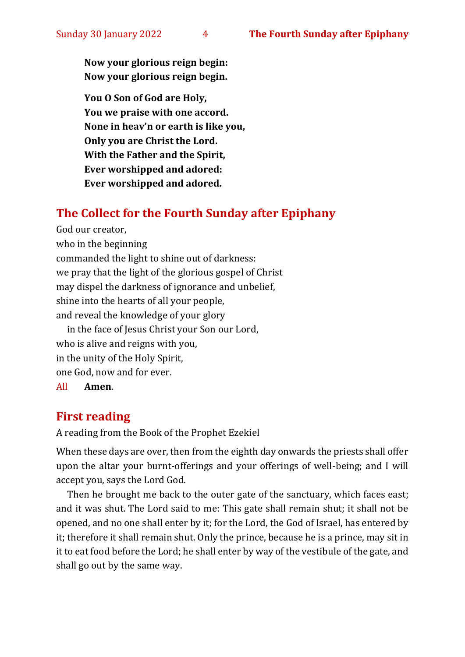**Now your glorious reign begin: Now your glorious reign begin.**

**You O Son of God are Holy, You we praise with one accord. None in heav'n or earth is like you, Only you are Christ the Lord. With the Father and the Spirit, Ever worshipped and adored: Ever worshipped and adored.**

# **The Collect for the Fourth Sunday after Epiphany**

God our creator, who in the beginning commanded the light to shine out of darkness: we pray that the light of the glorious gospel of Christ may dispel the darkness of ignorance and unbelief, shine into the hearts of all your people, and reveal the knowledge of your glory in the face of Jesus Christ your Son our Lord,

who is alive and reigns with you, in the unity of the Holy Spirit, one God, now and for ever.

All **Amen**.

# **First reading**

A reading from the Book of the Prophet Ezekiel

When these days are over, then from the eighth day onwards the priests shall offer upon the altar your burnt-offerings and your offerings of well-being; and I will accept you, says the Lord God.

Then he brought me back to the outer gate of the sanctuary, which faces east; and it was shut. The Lord said to me: This gate shall remain shut; it shall not be opened, and no one shall enter by it; for the Lord, the God of Israel, has entered by it; therefore it shall remain shut. Only the prince, because he is a prince, may sit in it to eat food before the Lord; he shall enter by way of the vestibule of the gate, and shall go out by the same way.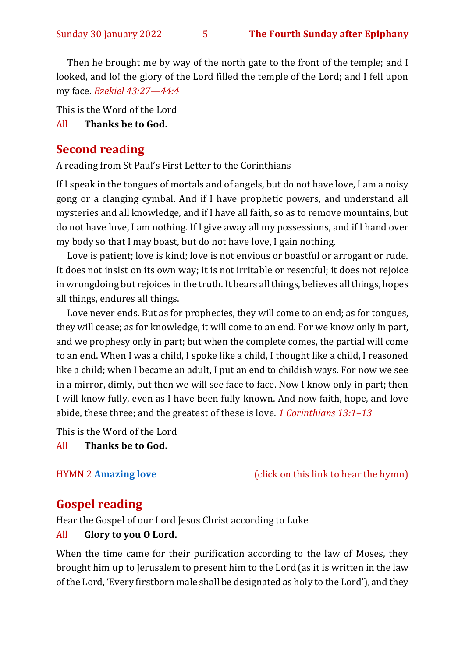Then he brought me by way of the north gate to the front of the temple; and I looked, and lo! the glory of the Lord filled the temple of the Lord; and I fell upon my face. *Ezekiel 43:27—44:4*

This is the Word of the Lord

# All **Thanks be to God.**

# **Second reading**

A reading from St Paul's First Letter to the Corinthians

If I speak in the tongues of mortals and of angels, but do not have love, I am a noisy gong or a clanging cymbal. And if I have prophetic powers, and understand all mysteries and all knowledge, and if I have all faith, so as to remove mountains, but do not have love, I am nothing. If I give away all my possessions, and if I hand over my body so that I may boast, but do not have love, I gain nothing.

Love is patient; love is kind; love is not envious or boastful or arrogant or rude. It does not insist on its own way; it is not irritable or resentful; it does not rejoice in wrongdoing but rejoices in the truth. It bears all things, believes all things, hopes all things, endures all things.

Love never ends. But as for prophecies, they will come to an end; as for tongues, they will cease; as for knowledge, it will come to an end. For we know only in part, and we prophesy only in part; but when the complete comes, the partial will come to an end. When I was a child, I spoke like a child, I thought like a child, I reasoned like a child; when I became an adult, I put an end to childish ways. For now we see in a mirror, dimly, but then we will see face to face. Now I know only in part; then I will know fully, even as I have been fully known. And now faith, hope, and love abide, these three; and the greatest of these is love. *1 Corinthians 13:1–13*

This is the Word of the Lord

All **Thanks be to God.**

HYMN 2 **[Amazing love](https://www.youtube.com/watch?v=ItR0E1lg7lY)** (click on this link to hear the hymn)

# **Gospel reading**

Hear the Gospel of our Lord Jesus Christ according to Luke

## All **Glory to you O Lord.**

When the time came for their purification according to the law of Moses, they brought him up to Jerusalem to present him to the Lord (as it is written in the law of the Lord, 'Every firstborn male shall be designated as holy to the Lord'), and they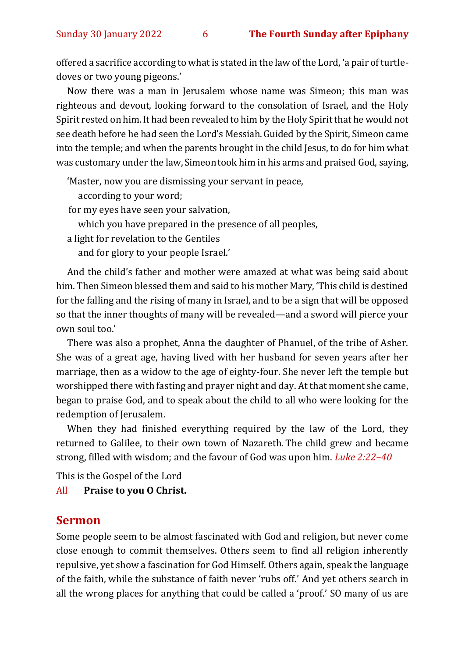offered a sacrifice according to what is stated in the law of the Lord, 'a pair of turtledoves or two young pigeons.'

Now there was a man in Jerusalem whose name was Simeon; this man was righteous and devout, looking forward to the consolation of Israel, and the Holy Spirit rested on him.It had been revealed to him by the Holy Spirit that he would not see death before he had seen the Lord's Messiah.Guided by the Spirit, Simeon came into the temple; and when the parents brought in the child Jesus, to do for him what was customary under the law, Simeontook him in his arms and praised God, saying,

'Master, now you are dismissing your servant in peace,

according to your word;

for my eyes have seen your salvation,

which you have prepared in the presence of all peoples,

a light for revelation to the Gentiles

and for glory to your people Israel.'

And the child's father and mother were amazed at what was being said about him. Then Simeon blessed them and said to his mother Mary, 'This child is destined for the falling and the rising of many in Israel, and to be a sign that will be opposed so that the inner thoughts of many will be revealed—and a sword will pierce your own soul too.'

There was also a prophet, Anna the daughter of Phanuel, of the tribe of Asher. She was of a great age, having lived with her husband for seven years after her marriage, then as a widow to the age of eighty-four. She never left the temple but worshipped there with fasting and prayer night and day. At that moment she came, began to praise God, and to speak about the child to all who were looking for the redemption of Jerusalem.

When they had finished everything required by the law of the Lord, they returned to Galilee, to their own town of Nazareth. The child grew and became strong, filled with wisdom; and the favour of God was upon him. *Luke 2:22–40*

This is the Gospel of the Lord

All **Praise to you O Christ.** 

# **Sermon**

Some people seem to be almost fascinated with God and religion, but never come close enough to commit themselves. Others seem to find all religion inherently repulsive, yet show a fascination for God Himself. Others again, speak the language of the faith, while the substance of faith never 'rubs off.' And yet others search in all the wrong places for anything that could be called a 'proof.' SO many of us are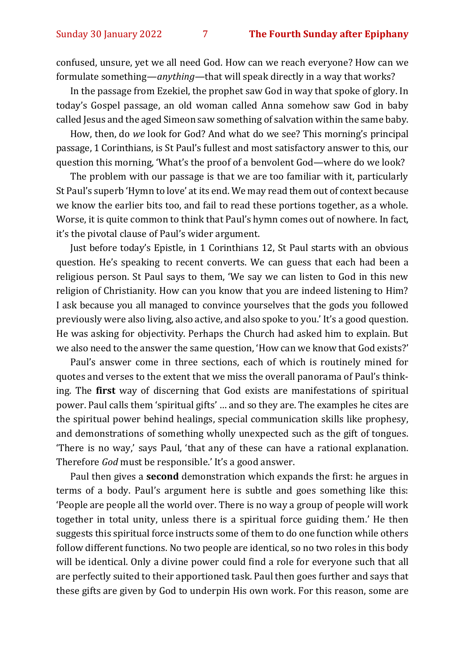confused, unsure, yet we all need God. How can we reach everyone? How can we formulate something—*anything—*that will speak directly in a way that works?

In the passage from Ezekiel, the prophet saw God in way that spoke of glory. In today's Gospel passage, an old woman called Anna somehow saw God in baby called Jesus and the aged Simeon saw something of salvation within the same baby.

How, then, do *we* look for God? And what do we see? This morning's principal passage, 1 Corinthians, is St Paul's fullest and most satisfactory answer to this, our question this morning, 'What's the proof of a benvolent God—where do we look?

The problem with our passage is that we are too familiar with it, particularly St Paul's superb 'Hymn to love' at its end. We may read them out of context because we know the earlier bits too, and fail to read these portions together, as a whole. Worse, it is quite common to think that Paul's hymn comes out of nowhere. In fact, it's the pivotal clause of Paul's wider argument.

Just before today's Epistle, in 1 Corinthians 12, St Paul starts with an obvious question. He's speaking to recent converts. We can guess that each had been a religious person. St Paul says to them, 'We say we can listen to God in this new religion of Christianity. How can you know that you are indeed listening to Him? I ask because you all managed to convince yourselves that the gods you followed previously were also living, also active, and also spoke to you.' It's a good question. He was asking for objectivity. Perhaps the Church had asked him to explain. But we also need to the answer the same question, 'How can we know that God exists?'

Paul's answer come in three sections, each of which is routinely mined for quotes and verses to the extent that we miss the overall panorama of Paul's thinking. The **first** way of discerning that God exists are manifestations of spiritual power. Paul calls them 'spiritual gifts' … and so they are. The examples he cites are the spiritual power behind healings, special communication skills like prophesy, and demonstrations of something wholly unexpected such as the gift of tongues. 'There is no way,' says Paul, 'that any of these can have a rational explanation. Therefore *God* must be responsible.' It's a good answer.

Paul then gives a **second** demonstration which expands the first: he argues in terms of a body. Paul's argument here is subtle and goes something like this: 'People are people all the world over. There is no way a group of people will work together in total unity, unless there is a spiritual force guiding them.' He then suggests this spiritual force instructs some of them to do one function while others follow different functions. No two people are identical, so no two roles in this body will be identical. Only a divine power could find a role for everyone such that all are perfectly suited to their apportioned task. Paul then goes further and says that these gifts are given by God to underpin His own work. For this reason, some are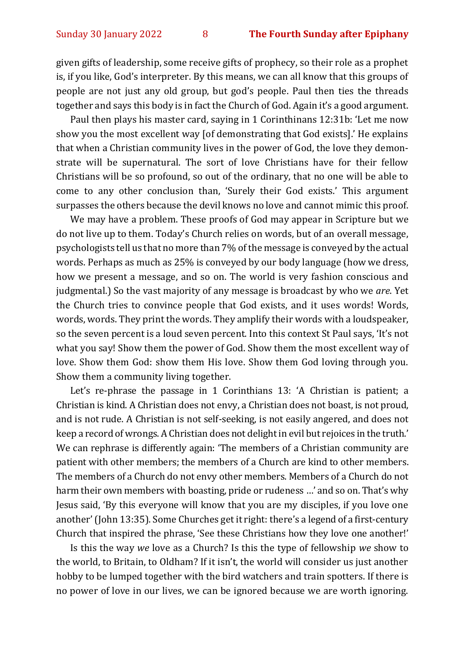given gifts of leadership, some receive gifts of prophecy, so their role as a prophet is, if you like, God's interpreter. By this means, we can all know that this groups of people are not just any old group, but god's people. Paul then ties the threads together and says this body is in fact the Church of God. Again it's a good argument.

Paul then plays his master card, saying in 1 Corinthinans 12:31b: 'Let me now show you the most excellent way [of demonstrating that God exists].' He explains that when a Christian community lives in the power of God, the love they demonstrate will be supernatural. The sort of love Christians have for their fellow Christians will be so profound, so out of the ordinary, that no one will be able to come to any other conclusion than, 'Surely their God exists.' This argument surpasses the others because the devil knows no love and cannot mimic this proof.

We may have a problem. These proofs of God may appear in Scripture but we do not live up to them. Today's Church relies on words, but of an overall message, psychologists tell us that no more than 7% of the message is conveyed by the actual words. Perhaps as much as 25% is conveyed by our body language (how we dress, how we present a message, and so on. The world is very fashion conscious and judgmental.) So the vast majority of any message is broadcast by who we *are*. Yet the Church tries to convince people that God exists, and it uses words! Words, words, words. They print the words. They amplify their words with a loudspeaker, so the seven percent is a loud seven percent. Into this context St Paul says, 'It's not what you say! Show them the power of God. Show them the most excellent way of love. Show them God: show them His love. Show them God loving through you. Show them a community living together.

Let's re-phrase the passage in 1 Corinthians 13: 'A Christian is patient; a Christian is kind. A Christian does not envy, a Christian does not boast, is not proud, and is not rude. A Christian is not self-seeking, is not easily angered, and does not keep a record of wrongs. A Christian does not delight in evil but rejoices in the truth.' We can rephrase is differently again: 'The members of a Christian community are patient with other members; the members of a Church are kind to other members. The members of a Church do not envy other members. Members of a Church do not harm their own members with boasting, pride or rudeness …' and so on. That's why Jesus said, 'By this everyone will know that you are my disciples, if you love one another'(John 13:35). Some Churches get it right: there's a legend of a first-century Church that inspired the phrase, 'See these Christians how they love one another!'

Is this the way *we* love as a Church? Is this the type of fellowship *we* show to the world, to Britain, to Oldham? If it isn't, the world will consider us just another hobby to be lumped together with the bird watchers and train spotters. If there is no power of love in our lives, we can be ignored because we are worth ignoring.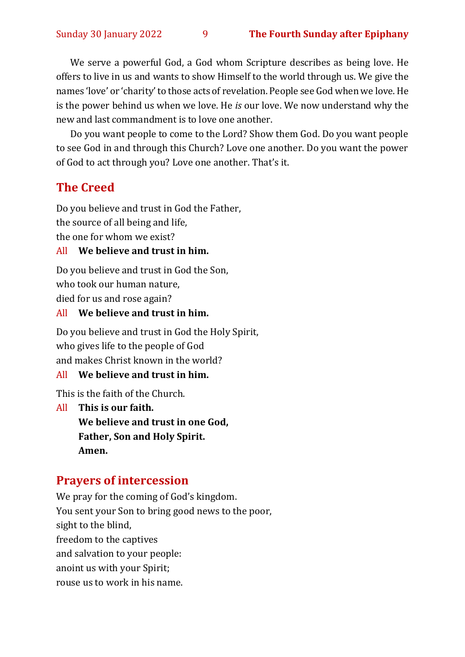We serve a powerful God, a God whom Scripture describes as being love. He offers to live in us and wants to show Himself to the world through us. We give the names 'love' or 'charity' to those acts of revelation. People see God when we love. He is the power behind us when we love. He *is* our love. We now understand why the new and last commandment is to love one another.

Do you want people to come to the Lord? Show them God. Do you want people to see God in and through this Church? Love one another. Do you want the power of God to act through you? Love one another. That's it.

# **The Creed**

Do you believe and trust in God the Father, the source of all being and life, the one for whom we exist?

#### All **We believe and trust in him.**

Do you believe and trust in God the Son, who took our human nature, died for us and rose again?

All **We believe and trust in him.**

Do you believe and trust in God the Holy Spirit, who gives life to the people of God and makes Christ known in the world?

#### All **We believe and trust in him.**

This is the faith of the Church.

All **This is our faith. We believe and trust in one God, Father, Son and Holy Spirit. Amen.**

## **Prayers of intercession**

We pray for the coming of God's kingdom. You sent your Son to bring good news to the poor, sight to the blind, freedom to the captives and salvation to your people: anoint us with your Spirit; rouse us to work in his name.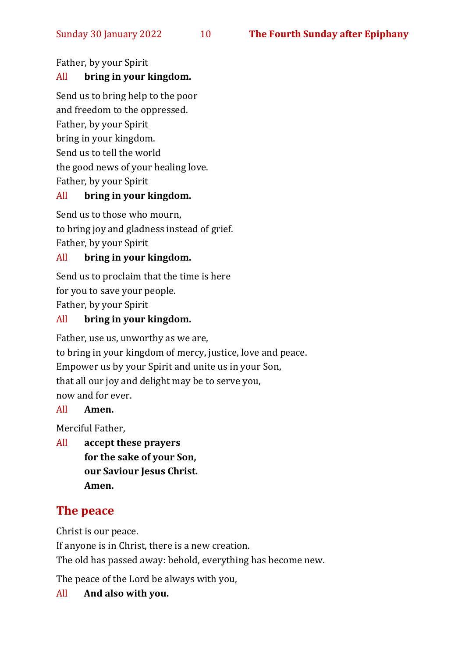Father, by your Spirit

#### All **bring in your kingdom.**

Send us to bring help to the poor and freedom to the oppressed. Father, by your Spirit bring in your kingdom. Send us to tell the world the good news of your healing love. Father, by your Spirit

#### All **bring in your kingdom.**

Send us to those who mourn, to bring joy and gladness instead of grief. Father, by your Spirit

#### All **bring in your kingdom.**

Send us to proclaim that the time is here for you to save your people. Father, by your Spirit

#### All **bring in your kingdom.**

Father, use us, unworthy as we are, to bring in your kingdom of mercy, justice, love and peace. Empower us by your Spirit and unite us in your Son, that all our joy and delight may be to serve you, now and for ever.

#### All **Amen.**

Merciful Father,

All **accept these prayers for the sake of your Son, our Saviour Jesus Christ. Amen.**

# **The peace**

Christ is our peace.

If anyone is in Christ, there is a new creation.

The old has passed away: behold, everything has become new.

The peace of the Lord be always with you,

All **And also with you.**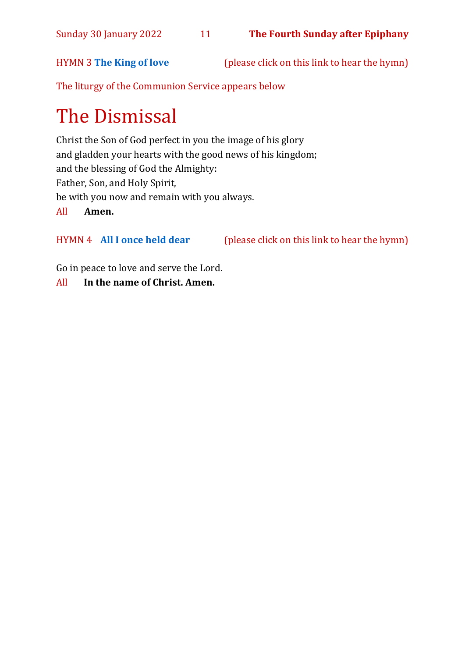HYMN 3 **[The King of love](https://www.youtube.com/watch?v=b3GFVW6m9Qo)** (please click on this link to hear the hymn)

The liturgy of the Communion Service appears below

# The Dismissal

Christ the Son of God perfect in you the image of his glory and gladden your hearts with the good news of his kingdom; and the blessing of God the Almighty: Father, Son, and Holy Spirit, be with you now and remain with you always. All **Amen.**

HYMN 4 **[All I once held dear](https://www.youtube.com/watch?v=fIvKDgktutI)** (please click on this link to hear the hymn)

Go in peace to love and serve the Lord.

All **In the name of Christ. Amen.**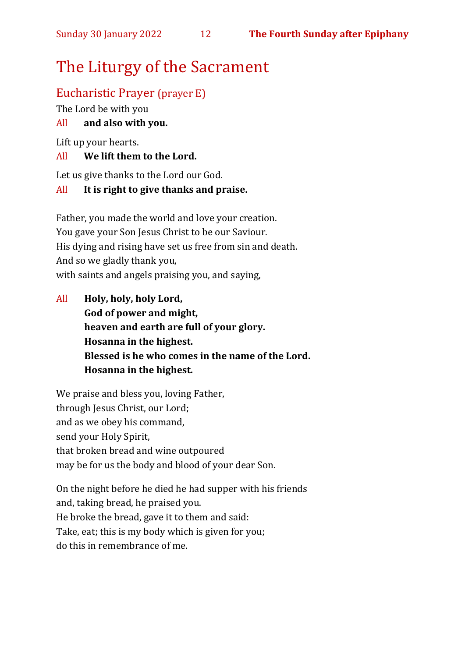# The Liturgy of the Sacrament

### Eucharistic Prayer (prayer E)

The Lord be with you

#### All **and also with you.**

Lift up your hearts.

#### All **We lift them to the Lord.**

Let us give thanks to the Lord our God.

#### All **It is right to give thanks and praise.**

Father, you made the world and love your creation. You gave your Son Jesus Christ to be our Saviour. His dying and rising have set us free from sin and death. And so we gladly thank you, with saints and angels praising you, and saying,

All **Holy, holy, holy Lord, God of power and might, heaven and earth are full of your glory. Hosanna in the highest. Blessed is he who comes in the name of the Lord. Hosanna in the highest.**

We praise and bless you, loving Father, through Jesus Christ, our Lord; and as we obey his command, send your Holy Spirit, that broken bread and wine outpoured may be for us the body and blood of your dear Son.

On the night before he died he had supper with his friends and, taking bread, he praised you. He broke the bread, gave it to them and said: Take, eat; this is my body which is given for you; do this in remembrance of me.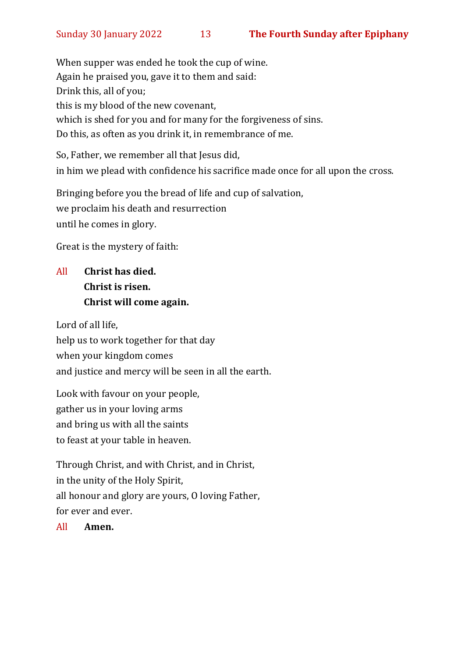When supper was ended he took the cup of wine. Again he praised you, gave it to them and said: Drink this, all of you; this is my blood of the new covenant, which is shed for you and for many for the forgiveness of sins. Do this, as often as you drink it, in remembrance of me.

So, Father, we remember all that Jesus did, in him we plead with confidence his sacrifice made once for all upon the cross.

Bringing before you the bread of life and cup of salvation, we proclaim his death and resurrection until he comes in glory.

Great is the mystery of faith:

# All **Christ has died. Christ is risen. Christ will come again.**

Lord of all life, help us to work together for that day when your kingdom comes and justice and mercy will be seen in all the earth.

Look with favour on your people, gather us in your loving arms and bring us with all the saints to feast at your table in heaven.

Through Christ, and with Christ, and in Christ, in the unity of the Holy Spirit, all honour and glory are yours, O loving Father, for ever and ever.

All **Amen.**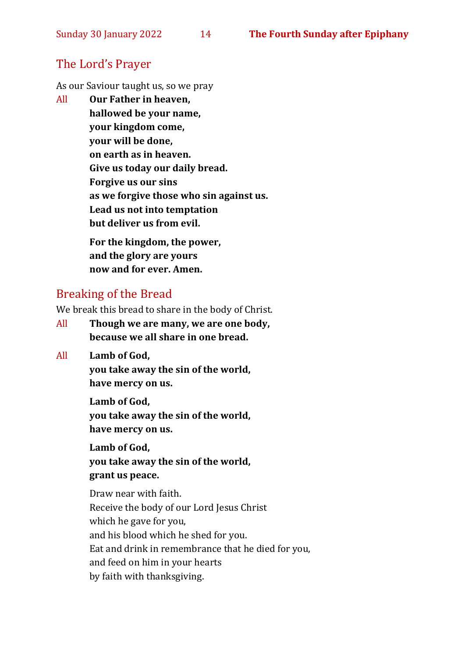# The Lord's Prayer

As our Saviour taught us, so we pray

All **Our Father in heaven, hallowed be your name, your kingdom come, your will be done, on earth as in heaven. Give us today our daily bread. Forgive us our sins as we forgive those who sin against us. Lead us not into temptation but deliver us from evil. For the kingdom, the power,** 

**and the glory are yours now and for ever. Amen.**

# Breaking of the Bread

We break this bread to share in the body of Christ.

- All **Though we are many, we are one body, because we all share in one bread.**
- All **Lamb of God,**

**you take away the sin of the world, have mercy on us.**

**Lamb of God, you take away the sin of the world, have mercy on us.**

**Lamb of God, you take away the sin of the world, grant us peace.**

Draw near with faith. Receive the body of our Lord Jesus Christ which he gave for you, and his blood which he shed for you. Eat and drink in remembrance that he died for you, and feed on him in your hearts by faith with thanksgiving.